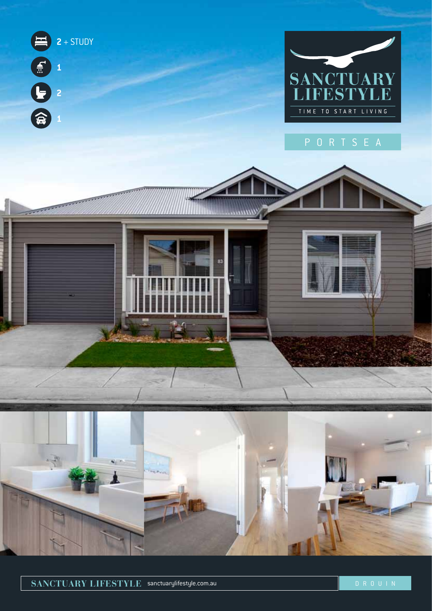

**SANCTUARY LIFESTYLE** sanctuarylifestyle.com.au DROUIN